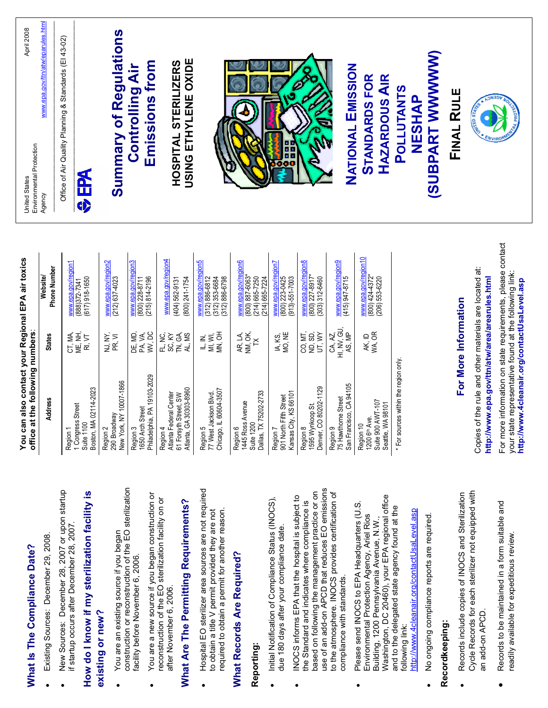| April 2008<br>Environmental Protection<br><b>United States</b>                        | www.epa.gov/ttn/atw/eparules.html<br>Agency | Office of Air Quality Planning & Standards (El 43-02)<br><b>AS</b><br>0 | <b>Summary of Regulations</b>                                                | Emissions from<br><b>Controlling Air</b>                       | USING ETHYLENE OXIDE<br>HOSPITAL STERILIZERS                                          |                                                                                 |                                                                           | no<br>10                                                     | RID                                                     | NATIONAL EMISSION                                          | <b>STANDARDS FOR</b><br>HAZARDOUS AIR                                            | (SUBPART WWWWW)<br>POLLUTANTS<br>NESHAP | FINAL RULE           | <b>Aris askis</b>                                                                                                                                                                                                              |
|---------------------------------------------------------------------------------------|---------------------------------------------|-------------------------------------------------------------------------|------------------------------------------------------------------------------|----------------------------------------------------------------|---------------------------------------------------------------------------------------|---------------------------------------------------------------------------------|---------------------------------------------------------------------------|--------------------------------------------------------------|---------------------------------------------------------|------------------------------------------------------------|----------------------------------------------------------------------------------|-----------------------------------------|----------------------|--------------------------------------------------------------------------------------------------------------------------------------------------------------------------------------------------------------------------------|
|                                                                                       | <b>Phone Number</b><br>Website/             | www.epa.gov/region1<br>$(617)$ 918-1650<br>(888)372-7341                | www.epa.gov/region2<br>(212) 637-4023                                        | <u>www.epa.gov/region3</u><br>(800) 228-8711<br>(215) 814-2196 | www.epa.gov/region4<br>$(404) 562 - 9131$<br>$(800)$ 241-1754                         | www.epa.gov/region5<br>$(312)$ 886-6812<br>$(312)$ 353-6684<br>$(312)$ 886-6798 | www.epa.gov/region6<br>$(800)$ 887-6063<br>214) 665-7250<br>214) 665-7224 | www.epa.gov/region7<br>800) 223-0425<br>$(913) - 551 - 7003$ | www.epa.gov/region8<br>(800) 227-8917*<br>303) 312-6460 | www.epa.gov/region9<br>(415) 947-8715                      | www.epa.gov/region10<br>$(800)$ 424-4372*<br>206) 553-6220                       |                                         |                      | information on state requirements, please contact                                                                                                                                                                              |
| You can also contact your Regional EPA air toxics<br>office at the following numbers: | <b>States</b>                               | CT, MA,<br>ME, NH,<br>RI, VT                                            | NJ, NY,<br>PR, VI                                                            | WV, DC<br>DE, MD,<br>PA, VA,                                   | TN, GA,<br>AL, MS<br>FL, NC,<br>SC, KY                                                | MN, OH<br>IL, IN,<br>MI, WI,                                                    | AR, LA,<br>NM, OK,<br>×                                                   | IA, KS,<br>MO, NE                                            | CO, MT,<br>ND, SD,<br>UT, WY                            | $H1$ , NV, GU, AS, MP<br>CA, AZ,                           | ak, id<br>Wa, or                                                                 |                                         | For More Information |                                                                                                                                                                                                                                |
|                                                                                       | Address                                     | Boston, MA 02114-2023<br>Street<br>1 Congress<br>Suite 1100<br>Region 1 | ,∾č<br>290 Broadway<br><sup>New York, NY 1<u>0007-1866</u></sup><br>Region 2 | Philadelphia, PA 19103-2029<br>Street<br>1650 Arch<br>Region 3 | 61 Forsyth Street, SW<br>Atlanta, GA 30303-8960<br>Atlanta Federal Center<br>Region 4 | 60604-3507<br>Region 5<br>77 West Jackson Blvd.<br>Chicago, IL                  | 75202-2733<br>1445 Ross Avenue<br>Suite 1200<br>Dallas, TX<br>Region 6    | 901 North Fifth Street<br>Kansas City, KS 66101<br>Region 7  | 1595 Wynkoop St.<br>Denver, CO 80202-1129<br>Region 8   | San Francisco, CA 94105<br>75 Hawthorne Street<br>Region 9 | Suite 900 AWT-107<br>Seattle, WA 98101<br>1200 6 <sup>th</sup> Ave.<br>Region 10 | * For sources within the region only.   |                      | Copies of the rule and other materials are located at:<br>your state representative found at the following link:<br>http://www.epa.gov/ttn/atw/area/arearules.html<br>http://www.4cleanair.org/contactUsaLevel.asp<br>For more |
|                                                                                       |                                             |                                                                         |                                                                              |                                                                |                                                                                       |                                                                                 |                                                                           |                                                              |                                                         |                                                            |                                                                                  |                                         |                      |                                                                                                                                                                                                                                |

## **What Is The Compliance Date? What Is The Compliance Date?**

- x Existing Sources: December 29, 2008. Existing Sources: December 29, 2008.
- New Sources: December 28, 2007 or upon startup New Sources: December 28, 2007 or upon startup if startup occurs after December 28, 2007. if startup occurs after December 28, 2007.

# **How do I know if my sterilization facility is**  How do I know if my sterilization facility is

### **existing or new?**  existing or new?

- construction or reconstruction of the EO sterilization construction or reconstruction of the EO sterilization  $\bullet$  You are an existing source if you began You are an existing source if you began facility before November 6, 2006. facility before November 6, 2006.
- You are a new source if you began construction or<br>reconstruction of the EO sterilization facility on or  $\bullet$  You are a new source if you began construction or reconstruction of the EO sterilization facility on or after November 6, 2006. after November 6, 2006.

## **What Are The Permitting Requirements?**  What Are The Permitting Requirements?

• Hospital EO sterilizer area sources are not required Hospital EO sterilizer area sources are not requirec required to obtain a permit for another reason. to obtain a title V permit provided they are not required to obtain a permit for another reason. to obtain a title V permit provided they are not

### **What Records Are Required? What Records Are Required?**

#### **Reporting:**  Reporting:

- Initial Notification of Compliance Status (INOCS), Initial Notification of Compliance Status (INOCS), due 180 days after your compliance date. due 180 days after your compliance date.
- use of an add-on APCD that reduces EO emissions based on following the management practice or on to the atmosphere. INOCS provides certification of based on following the management practice or on use of an add-on APCD that reduces EO emissions to the atmosphere. INOCS provides certification of ■ INOCS informs EPA that the hospital is subject to INOCS informs EPA that the hospital is subject to the Standard and indicates where compliance is the Standard and indicates where compliance is compliance with standards. compliance with standards.
- Washington, DC 20460), your EPA regional office Washington, DC 20460), your EPA regional office • Please send INOCS to EPA Headquarters (U.S. Please send INOCS to EPA Headquarters (U.S.<br>Environmental Protection Agency, Ariel Rios and to the delegated state agency found at the and to the delegated state agency found at the http://www.4cleanair.org/contactUsaLevel.asp Environmental Protection Agency, Ariel Rios Building, 1200 Pennsylvania Avenue, N.W., Building, 1200 Pennsylvania Avenue, N.W., following link: following link:
	- http://www.4cleanair.org/contactUsaLevel.asp
		- No ongoing compliance reports are required. • No ongoing compliance reports are required.  $\bullet$

#### **Recordkeeping:**  Recordkeeping:

- Cycle Records for each sterilizer not equipped with • Records include copies of INOCS and Sterilization Cycle Records for each sterilizer not equipped with Records include copies of INOCS and Sterilization an add-on APCD. an add-on APCD.
- Records to be maintained in a form suitable and Records to be maintained in a form suitable and readily available for expeditious review. readily available for expeditious review.  $\bullet$